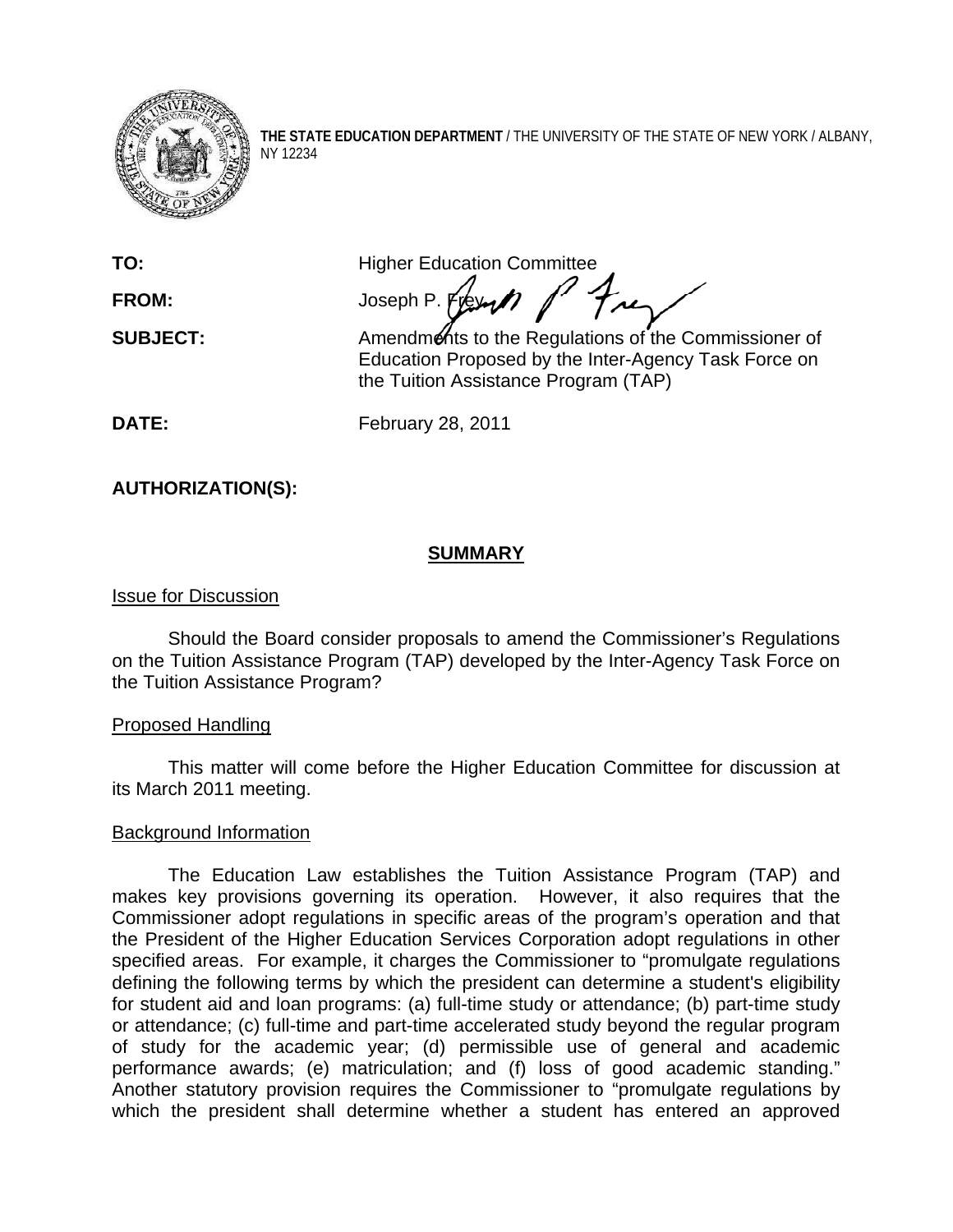

**THE STATE EDUCATION DEPARTMENT** / THE UNIVERSITY OF THE STATE OF NEW YORK / ALBANY, NY 12234

**TO: Higher Education Committee** 

FROM: Joseph P. Frey 1 **SUBJECT:** Amendments to the Regulations of the Commissioner of Education Proposed by the Inter-Agency Task Force on

the Tuition Assistance Program (TAP)

**DATE:** February 28, 2011

**AUTHORIZATION(S):** 

# **SUMMARY**

# Issue for Discussion

Should the Board consider proposals to amend the Commissioner's Regulations on the Tuition Assistance Program (TAP) developed by the Inter-Agency Task Force on the Tuition Assistance Program?

## Proposed Handling

This matter will come before the Higher Education Committee for discussion at its March 2011 meeting.

## Background Information

 The Education Law establishes the Tuition Assistance Program (TAP) and makes key provisions governing its operation. However, it also requires that the Commissioner adopt regulations in specific areas of the program's operation and that the President of the Higher Education Services Corporation adopt regulations in other specified areas. For example, it charges the Commissioner to "promulgate regulations defining the following terms by which the president can determine a student's eligibility for student aid and loan programs: (a) full-time study or attendance; (b) part-time study or attendance; (c) full-time and part-time accelerated study beyond the regular program of study for the academic year; (d) permissible use of general and academic performance awards; (e) matriculation; and (f) loss of good academic standing." Another statutory provision requires the Commissioner to "promulgate regulations by which the president shall determine whether a student has entered an approved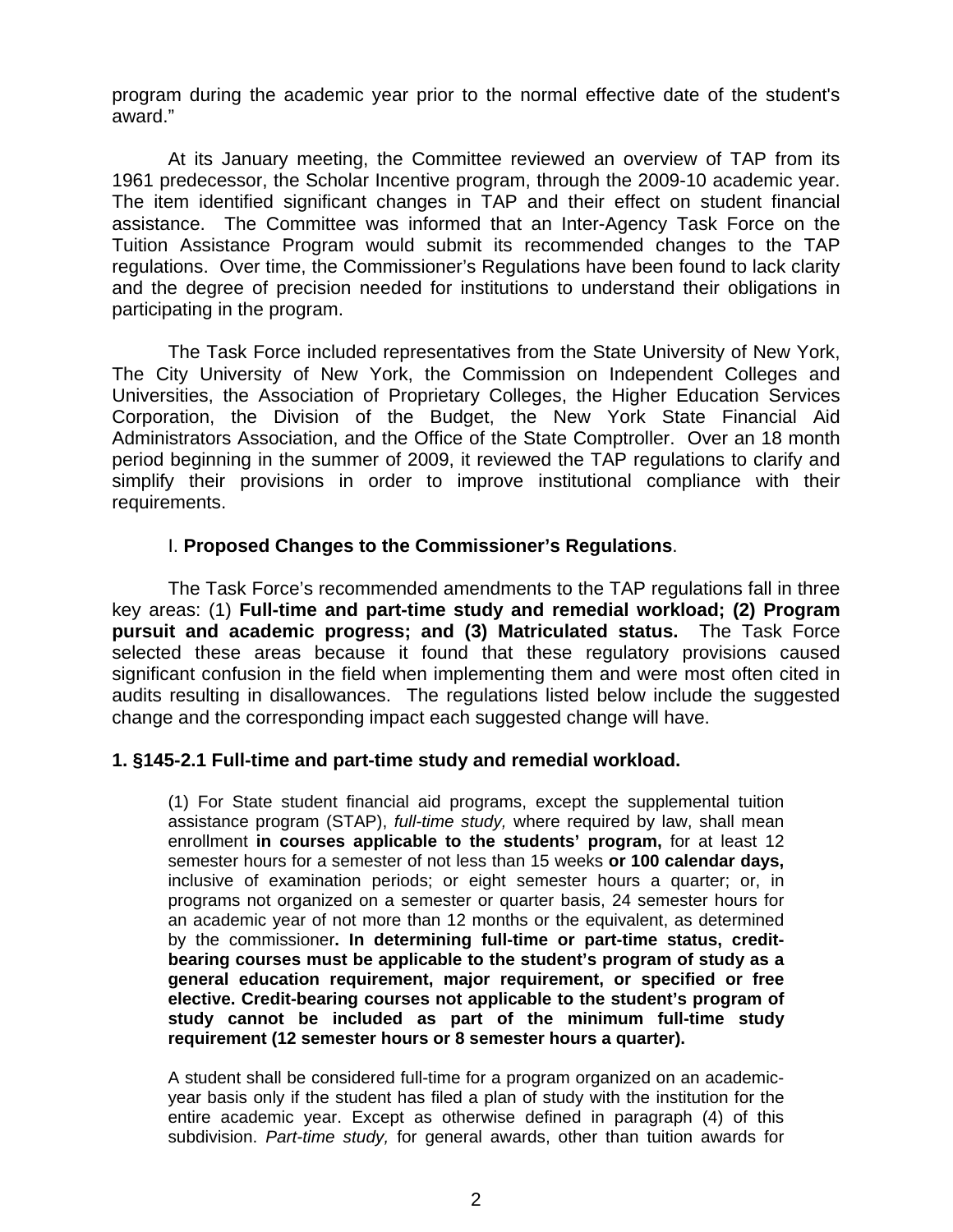program during the academic year prior to the normal effective date of the student's award."

At its January meeting, the Committee reviewed an overview of TAP from its 1961 predecessor, the Scholar Incentive program, through the 2009-10 academic year. The item identified significant changes in TAP and their effect on student financial assistance. The Committee was informed that an Inter-Agency Task Force on the Tuition Assistance Program would submit its recommended changes to the TAP regulations. Over time, the Commissioner's Regulations have been found to lack clarity and the degree of precision needed for institutions to understand their obligations in participating in the program.

The Task Force included representatives from the State University of New York, The City University of New York, the Commission on Independent Colleges and Universities, the Association of Proprietary Colleges, the Higher Education Services Corporation, the Division of the Budget, the New York State Financial Aid Administrators Association, and the Office of the State Comptroller. Over an 18 month period beginning in the summer of 2009, it reviewed the TAP regulations to clarify and simplify their provisions in order to improve institutional compliance with their requirements.

### I. **Proposed Changes to the Commissioner's Regulations**.

The Task Force's recommended amendments to the TAP regulations fall in three key areas: (1) **Full-time and part-time study and remedial workload; (2) Program pursuit and academic progress; and (3) Matriculated status.** The Task Force selected these areas because it found that these regulatory provisions caused significant confusion in the field when implementing them and were most often cited in audits resulting in disallowances. The regulations listed below include the suggested change and the corresponding impact each suggested change will have.

#### **1. §145-2.1 Full-time and part-time study and remedial workload.**

(1) For State student financial aid programs, except the supplemental tuition assistance program (STAP), *full-time study,* where required by law, shall mean enrollment **in courses applicable to the students' program,** for at least 12 semester hours for a semester of not less than 15 weeks **or 100 calendar days,** inclusive of examination periods; or eight semester hours a quarter; or, in programs not organized on a semester or quarter basis, 24 semester hours for an academic year of not more than 12 months or the equivalent, as determined by the commissioner**. In determining full-time or part-time status, creditbearing courses must be applicable to the student's program of study as a general education requirement, major requirement, or specified or free elective. Credit-bearing courses not applicable to the student's program of study cannot be included as part of the minimum full-time study requirement (12 semester hours or 8 semester hours a quarter).** 

A student shall be considered full-time for a program organized on an academicyear basis only if the student has filed a plan of study with the institution for the entire academic year. Except as otherwise defined in paragraph (4) of this subdivision. *Part-time study,* for general awards, other than tuition awards for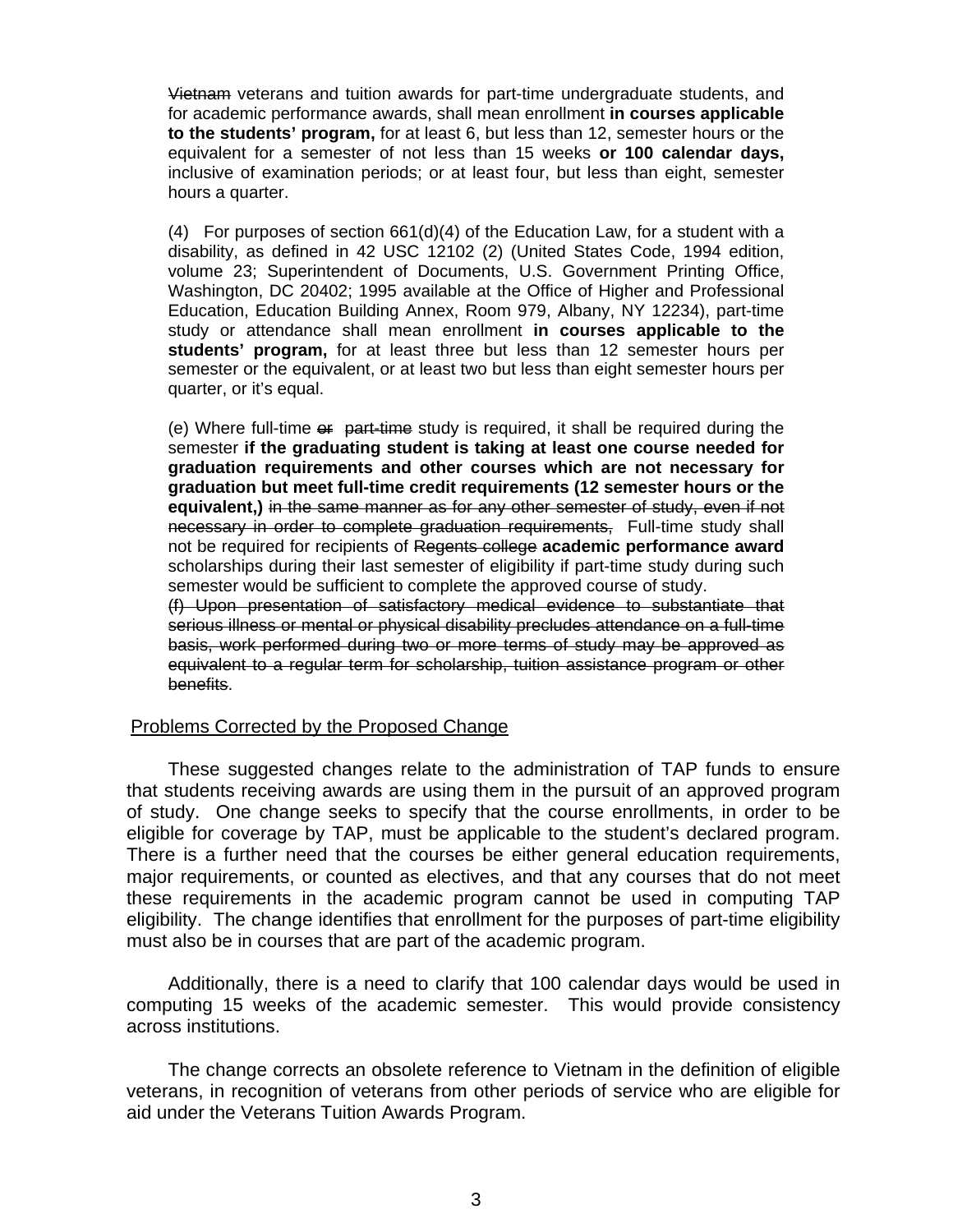Vietnam veterans and tuition awards for part-time undergraduate students, and for academic performance awards, shall mean enrollment **in courses applicable to the students' program,** for at least 6, but less than 12, semester hours or the equivalent for a semester of not less than 15 weeks **or 100 calendar days,** inclusive of examination periods; or at least four, but less than eight, semester hours a quarter.

(4) For purposes of section  $661(d)(4)$  of the Education Law, for a student with a disability, as defined in 42 USC 12102 (2) (United States Code, 1994 edition, volume 23; Superintendent of Documents, U.S. Government Printing Office, Washington, DC 20402; 1995 available at the Office of Higher and Professional Education, Education Building Annex, Room 979, Albany, NY 12234), part-time study or attendance shall mean enrollment **in courses applicable to the students' program,** for at least three but less than 12 semester hours per semester or the equivalent, or at least two but less than eight semester hours per quarter, or it's equal.

(e) Where full-time  $e\ddot{r}$  part-time study is required, it shall be required during the semester **if the graduating student is taking at least one course needed for graduation requirements and other courses which are not necessary for graduation but meet full-time credit requirements (12 semester hours or the equivalent,)** in the same manner as for any other semester of study, even if not necessary in order to complete graduation requirements, Full-time study shall not be required for recipients of Regents college **academic performance award** scholarships during their last semester of eligibility if part-time study during such semester would be sufficient to complete the approved course of study.

(f) Upon presentation of satisfactory medical evidence to substantiate that serious illness or mental or physical disability precludes attendance on a full-time basis, work performed during two or more terms of study may be approved as equivalent to a regular term for scholarship, tuition assistance program or other benefits.

#### Problems Corrected by the Proposed Change

 These suggested changes relate to the administration of TAP funds to ensure that students receiving awards are using them in the pursuit of an approved program of study. One change seeks to specify that the course enrollments, in order to be eligible for coverage by TAP, must be applicable to the student's declared program. There is a further need that the courses be either general education requirements, major requirements, or counted as electives, and that any courses that do not meet these requirements in the academic program cannot be used in computing TAP eligibility. The change identifies that enrollment for the purposes of part-time eligibility must also be in courses that are part of the academic program.

 Additionally, there is a need to clarify that 100 calendar days would be used in computing 15 weeks of the academic semester. This would provide consistency across institutions.

 The change corrects an obsolete reference to Vietnam in the definition of eligible veterans, in recognition of veterans from other periods of service who are eligible for aid under the Veterans Tuition Awards Program.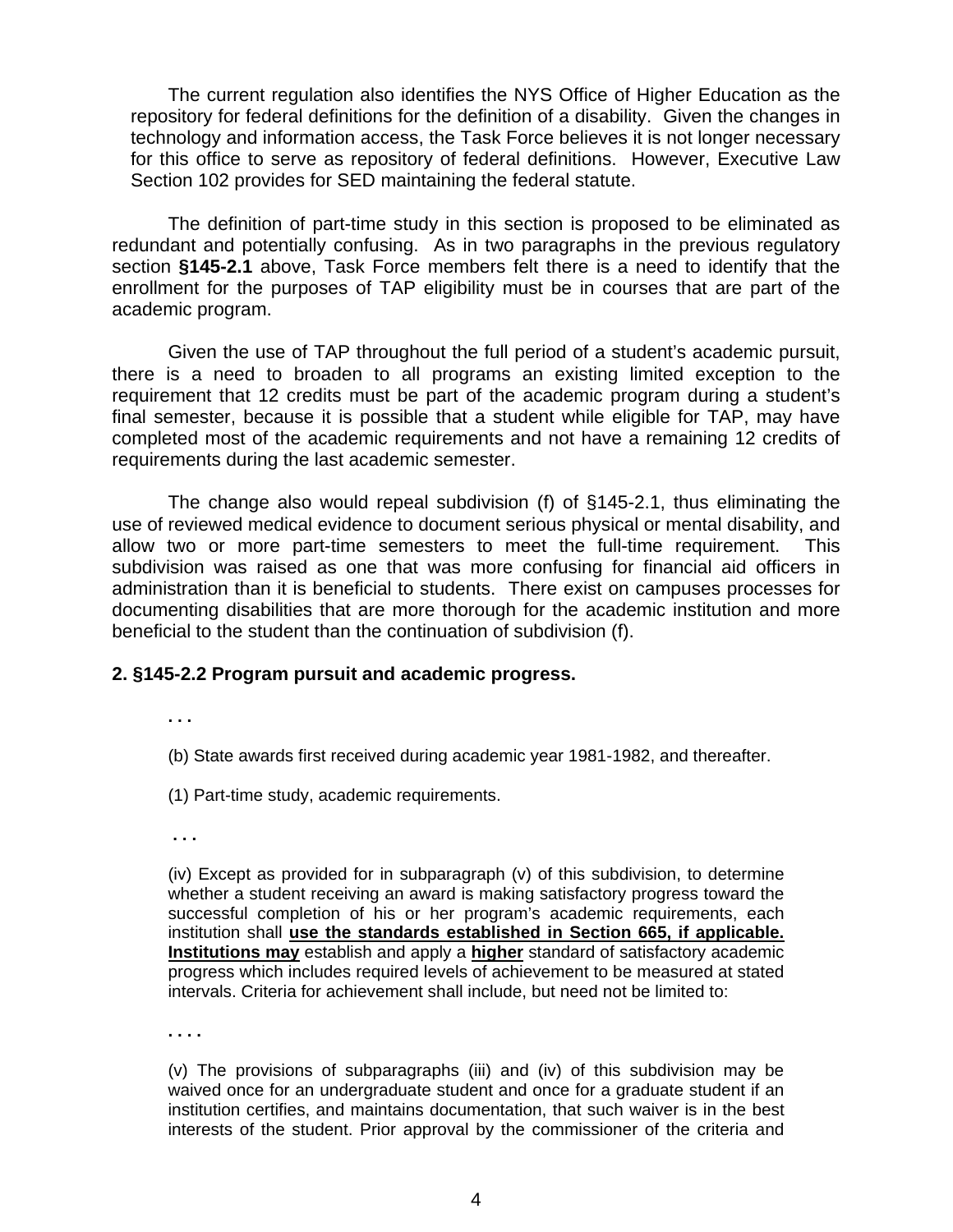The current regulation also identifies the NYS Office of Higher Education as the repository for federal definitions for the definition of a disability. Given the changes in technology and information access, the Task Force believes it is not longer necessary for this office to serve as repository of federal definitions. However, Executive Law Section 102 provides for SED maintaining the federal statute.

The definition of part-time study in this section is proposed to be eliminated as redundant and potentially confusing. As in two paragraphs in the previous regulatory section **§145-2.1** above, Task Force members felt there is a need to identify that the enrollment for the purposes of TAP eligibility must be in courses that are part of the academic program.

Given the use of TAP throughout the full period of a student's academic pursuit, there is a need to broaden to all programs an existing limited exception to the requirement that 12 credits must be part of the academic program during a student's final semester, because it is possible that a student while eligible for TAP, may have completed most of the academic requirements and not have a remaining 12 credits of requirements during the last academic semester.

The change also would repeal subdivision (f) of §145-2.1, thus eliminating the use of reviewed medical evidence to document serious physical or mental disability, and allow two or more part-time semesters to meet the full-time requirement. This subdivision was raised as one that was more confusing for financial aid officers in administration than it is beneficial to students. There exist on campuses processes for documenting disabilities that are more thorough for the academic institution and more beneficial to the student than the continuation of subdivision (f).

#### **2. §145-2.2 Program pursuit and academic progress.**

**. . .** 

(b) State awards first received during academic year 1981-1982, and thereafter.

(1) Part-time study, academic requirements.

 **. . .** 

(iv) Except as provided for in subparagraph (v) of this subdivision, to determine whether a student receiving an award is making satisfactory progress toward the successful completion of his or her program's academic requirements, each institution shall **use the standards established in Section 665, if applicable. Institutions may** establish and apply a **higher** standard of satisfactory academic progress which includes required levels of achievement to be measured at stated intervals. Criteria for achievement shall include, but need not be limited to:

**. . . .** 

(v) The provisions of subparagraphs (iii) and (iv) of this subdivision may be waived once for an undergraduate student and once for a graduate student if an institution certifies, and maintains documentation, that such waiver is in the best interests of the student. Prior approval by the commissioner of the criteria and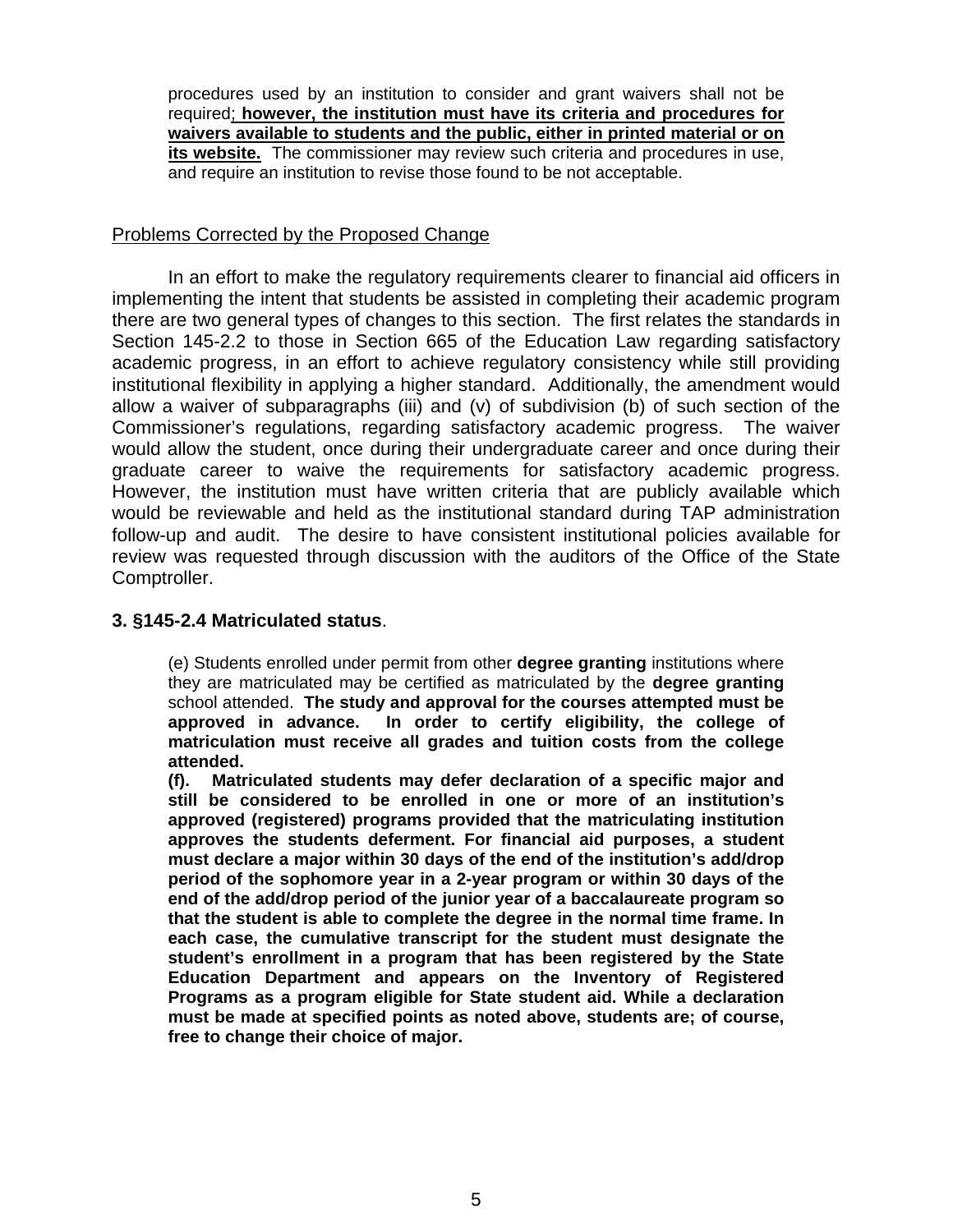procedures used by an institution to consider and grant waivers shall not be required; **however, the institution must have its criteria and procedures for waivers available to students and the public, either in printed material or on**  its website. The commissioner may review such criteria and procedures in use, and require an institution to revise those found to be not acceptable.

### Problems Corrected by the Proposed Change

 In an effort to make the regulatory requirements clearer to financial aid officers in implementing the intent that students be assisted in completing their academic program there are two general types of changes to this section. The first relates the standards in Section 145-2.2 to those in Section 665 of the Education Law regarding satisfactory academic progress, in an effort to achieve regulatory consistency while still providing institutional flexibility in applying a higher standard. Additionally, the amendment would allow a waiver of subparagraphs (iii) and (v) of subdivision (b) of such section of the Commissioner's regulations, regarding satisfactory academic progress. The waiver would allow the student, once during their undergraduate career and once during their graduate career to waive the requirements for satisfactory academic progress. However, the institution must have written criteria that are publicly available which would be reviewable and held as the institutional standard during TAP administration follow-up and audit. The desire to have consistent institutional policies available for review was requested through discussion with the auditors of the Office of the State Comptroller.

### **3. §145-2.4 Matriculated status**.

(e) Students enrolled under permit from other **degree granting** institutions where they are matriculated may be certified as matriculated by the **degree granting**  school attended. **The study and approval for the courses attempted must be approved in advance. In order to certify eligibility, the college of matriculation must receive all grades and tuition costs from the college attended.** 

**(f). Matriculated students may defer declaration of a specific major and still be considered to be enrolled in one or more of an institution's approved (registered) programs provided that the matriculating institution approves the students deferment. For financial aid purposes, a student must declare a major within 30 days of the end of the institution's add/drop period of the sophomore year in a 2-year program or within 30 days of the end of the add/drop period of the junior year of a baccalaureate program so that the student is able to complete the degree in the normal time frame. In each case, the cumulative transcript for the student must designate the student's enrollment in a program that has been registered by the State Education Department and appears on the Inventory of Registered Programs as a program eligible for State student aid. While a declaration must be made at specified points as noted above, students are; of course, free to change their choice of major.**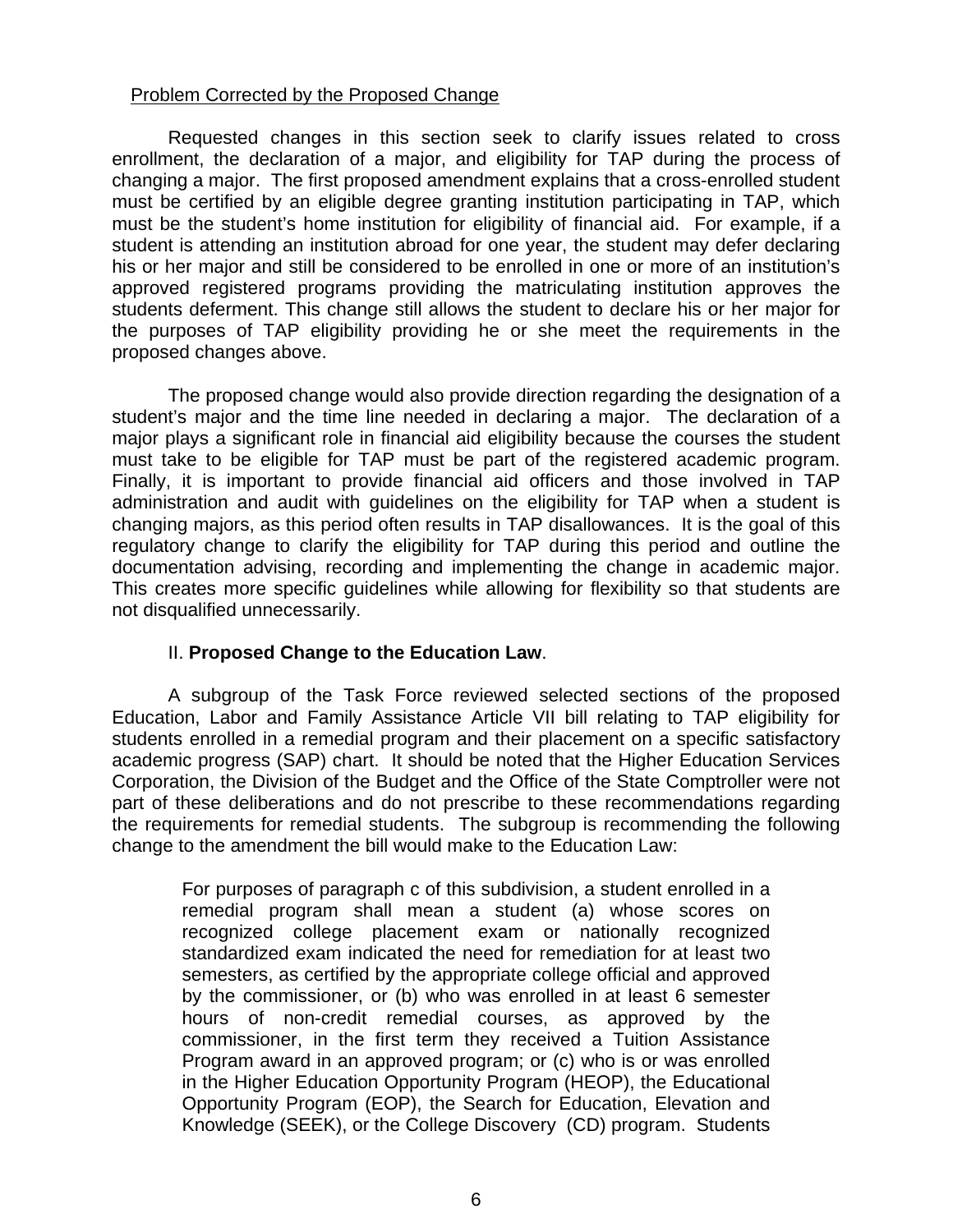## Problem Corrected by the Proposed Change

 Requested changes in this section seek to clarify issues related to cross enrollment, the declaration of a major, and eligibility for TAP during the process of changing a major. The first proposed amendment explains that a cross-enrolled student must be certified by an eligible degree granting institution participating in TAP, which must be the student's home institution for eligibility of financial aid. For example, if a student is attending an institution abroad for one year, the student may defer declaring his or her major and still be considered to be enrolled in one or more of an institution's approved registered programs providing the matriculating institution approves the students deferment. This change still allows the student to declare his or her major for the purposes of TAP eligibility providing he or she meet the requirements in the proposed changes above.

 The proposed change would also provide direction regarding the designation of a student's major and the time line needed in declaring a major. The declaration of a major plays a significant role in financial aid eligibility because the courses the student must take to be eligible for TAP must be part of the registered academic program. Finally, it is important to provide financial aid officers and those involved in TAP administration and audit with guidelines on the eligibility for TAP when a student is changing majors, as this period often results in TAP disallowances. It is the goal of this regulatory change to clarify the eligibility for TAP during this period and outline the documentation advising, recording and implementing the change in academic major. This creates more specific guidelines while allowing for flexibility so that students are not disqualified unnecessarily.

## II. **Proposed Change to the Education Law**.

A subgroup of the Task Force reviewed selected sections of the proposed Education, Labor and Family Assistance Article VII bill relating to TAP eligibility for students enrolled in a remedial program and their placement on a specific satisfactory academic progress (SAP) chart. It should be noted that the Higher Education Services Corporation, the Division of the Budget and the Office of the State Comptroller were not part of these deliberations and do not prescribe to these recommendations regarding the requirements for remedial students. The subgroup is recommending the following change to the amendment the bill would make to the Education Law:

For purposes of paragraph c of this subdivision, a student enrolled in a remedial program shall mean a student (a) whose scores on recognized college placement exam or nationally recognized standardized exam indicated the need for remediation for at least two semesters, as certified by the appropriate college official and approved by the commissioner, or (b) who was enrolled in at least 6 semester hours of non-credit remedial courses, as approved by the commissioner, in the first term they received a Tuition Assistance Program award in an approved program; or (c) who is or was enrolled in the Higher Education Opportunity Program (HEOP), the Educational Opportunity Program (EOP), the Search for Education, Elevation and Knowledge (SEEK), or the College Discovery (CD) program. Students